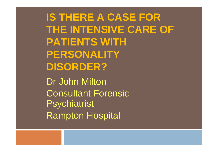**IS THERE A CASE FOR THE INTENSIVE CARE OF PATIENTS WITH PERSONALITY DISORDER?** Dr John Milton Consultant Forensic **Psychiatrist** Rampton Hospital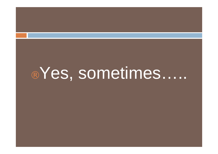# "Yes, sometimes.....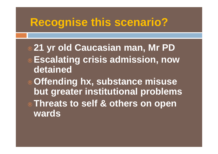## **Recognise this scenario?**

- ¨ **21 yr old Caucasian man, Mr PD**
- ¨ **Escalating crisis admission, now detained**
- ¨ **Offending hx, substance misuse but greater institutional problems**
- ¨ **Threats to self & others on open wards**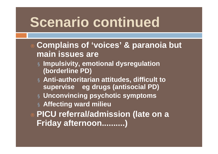# **Scenario continued**

- ¨ **Complains of 'voices' & paranoia but main issues are** 
	- ¤ **Impulsivity, emotional dysregulation (borderline PD)**
	- ¤ **Anti-authoritarian attitudes, difficult to supervise eg drugs (antisocial PD)**
	- ¤ **Unconvincing psychotic symptoms**
	- ¤ **Affecting ward milieu**
- ¨ **PICU referral/admission (late on a Friday afternoon..........)**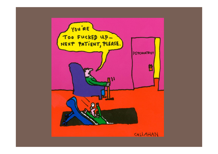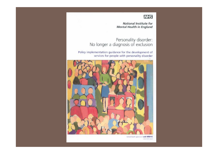#### **NHS**

**National Institute for Mental Health in England** 

: Personality disorder<br>No longer a diagnosis of exclusion

Policy implementation guidance for the development of services for people with personality disorder



mental health questions? ask NIMHE www.rents.ng.uk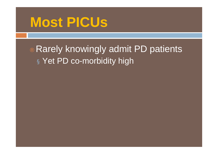# **Most PICUs**

¨ Rarely knowingly admit PD patients ¤ Yet PD co-morbidity high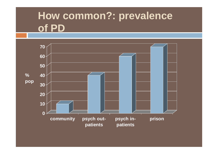## **How common?: prevalence of PD**

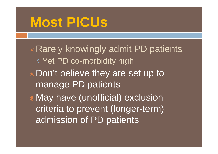# **Most PICUs**

- ¨ Rarely knowingly admit PD patients ¤ Yet PD co-morbidity high
- Don't believe they are set up to manage PD patients
- May have (unofficial) exclusion criteria to prevent (longer-term) admission of PD patients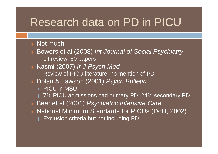### Research data on PD in PICU

#### Not much

- ¨ Bowers et al (2008) *Int Journal of Social Psychiatry*  $\infty$  Lit review, 50 papers
- ¨ Kasmi (2007) *Ir J Psych Med*
	- **¤ Review of PICU literature, no mention of PD**
- ¨ Dolan & Lawson (2001) *Psych Bulletin*
	- **¤ PICU in MSU**
	- $\alpha$  7% PICU admissions had primary PD, 24% secondary PD
- Beer et al (2001) Psychiatric Intensive Care
- National Minimum Standards for PICUs (DoH, 2002)
	- $\infty$  Exclusion criteria but not including PD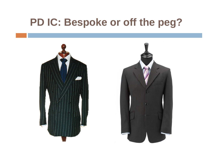### **PD IC: Bespoke or off the peg?**

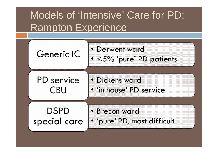## Models of 'Intensive' Care for PD: Rampton Experience

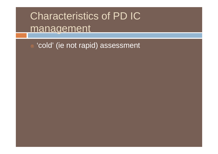## Characteristics of PD IC management

¨ 'cold' (ie not rapid) assessment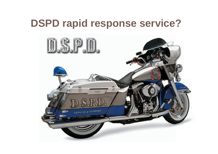### **DSPD rapid response service?**

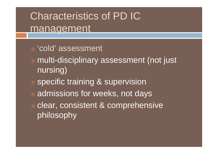Characteristics of PD IC management

- ¨ 'cold' assessment
- multi-disciplinary assessment (not just nursing)
- specific training & supervision
- admissions for weeks, not days
- clear, consistent & comprehensive philosophy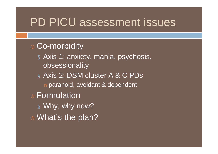#### PD PICU assessment issues

#### Co-morbidity

- ¤ Axis 1: anxiety, mania, psychosis, obsessionality
- ¤ Axis 2: DSM cluster A & C PDs n paranoid, avoidant & dependent
- **Formulation** 
	- **¤ Why, why now?**
- ¨ What's the plan?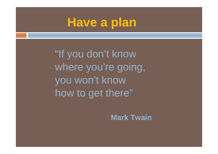## **Have a plan**

"If you don't know where you're going, you won't know how to get there"

**Mark Twain**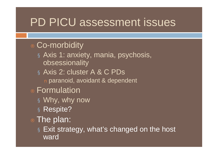### PD PICU assessment issues

#### Co-morbidity

- ¤ Axis 1: anxiety, mania, psychosis, obsessionality
- ¤ Axis 2: cluster A & C PDs
	- n paranoid, avoidant & dependent

#### ¨ Formulation

- ¤Why, why now
- ¤ Respite?

#### $\therefore$  The plan:

¤ Exit strategy, what's changed on the host ward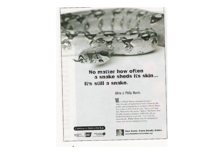#### No matter how often a snake sheds its skin... It's still a snake.

Altria is Philip Morris.

Why is Philip Morris changing its name? After decades of marketing to kids, deceiving the public and manipulating its products, Philip Morris now wants to hide from its past. But it can't hide this: More kids still smoke "Altria's" Marlboros than all other brands combined, 2,000 kids still get hooked on tobacco every day. 1 in 3 will die prematurely. Philip Morris may be changing its name, but it's not changing its ways.



+ AMERICAN

rican Hear

New Name. Same Deadly Habits. www.PhilipMontsCantHide.org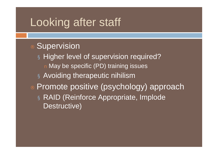### Looking after staff

#### **Supervision**

¤ Higher level of supervision required? n May be specific (PD) training issues ¤ Avoiding therapeutic nihilism

Promote positive (psychology) approach ¤ RAID (Reinforce Appropriate, Implode Destructive)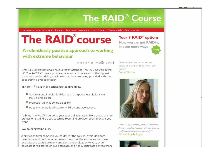#### **The RAID<sup>®</sup> Course**

Homepage : Course content : Planner : Principles : Become a tutor : Contact : Testimonials : Open courses

# **The RAID**<sup>®</sup>course

#### A relentlessly positive approach to working with extreme behaviour

Font-size  $A$   $A$  Print  $B$  Send  $\hat{\theta}$ 

Over 11,000 professionals have already attended The RAID Course in the UK. The RAID<sup>®</sup> Course is positive, relevant and delivered to the highest standards so that delegates know that they are being provided with the best training available today.

#### The RAID<sup>®</sup> Course is particularly applicable to:

- <sup>®</sup> Secure mental health facilities such as Special Hospitals, RSU's, PICU's and similar
- <sup>®</sup> Professionals in learning disability
- <sup>®</sup> People who are looking after children and adolescents

To bring The RAID® Course to your team, simply assemble a group of 6-16 professionals, find a good teaching room and provide refreshments if you want.

#### We do everything else.

A first class tutor comes to you to deliver the course, every delegate receives a workbook as a permanent record of the course content, we evaluate the course properly and send the evaluation to you, every delegate is registered on our database and has a certificate sent to them "Re-motivated me, reassured me. enlivened me: it made my brain work again." Social Worker

Your 7 RAID<sup>®</sup> options Now you can get RAIDing

more

in even more ways



"Very well presented, easily understood. Just an excellent course, all members of staff should attend compulsorily." Clinical Psychologist

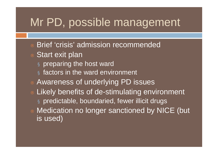## Mr PD, possible management

- **Brief 'crisis' admission recommended**
- Start exit plan
	- **¤ preparing the host ward**
	- $\alpha$  factors in the ward environment
- Awareness of underlying PD issues
- Likely benefits of de-stimulating environment ¤ predictable, boundaried, fewer illicit drugs
- Medication no longer sanctioned by NICE (but is used)